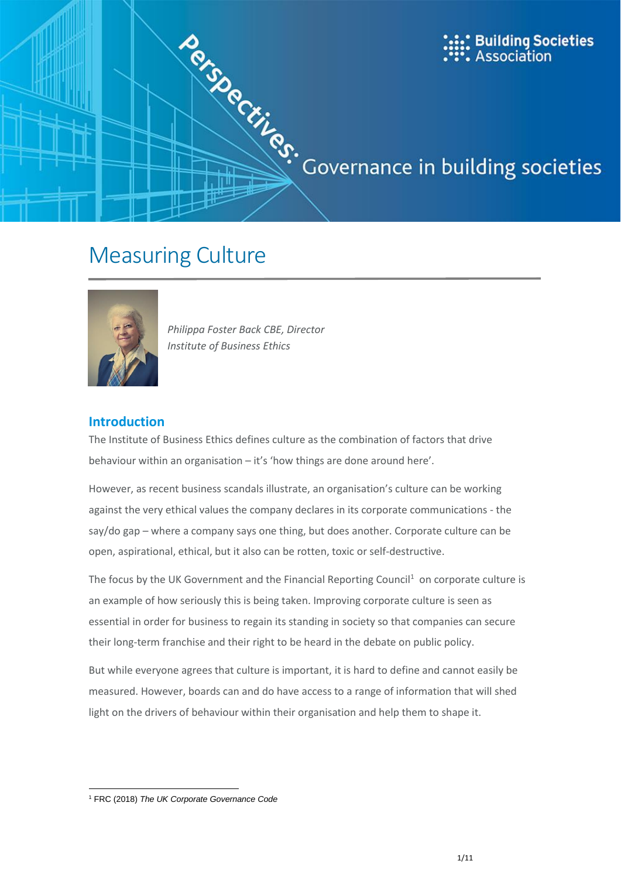



*Philippa Foster Back CBE, Director Institute of Business Ethics*

# **Introduction**

The Institute of Business Ethics defines culture as the combination of factors that drive behaviour within an organisation – it's 'how things are done around here'.

However, as recent business scandals illustrate, an organisation's culture can be working against the very ethical values the company declares in its corporate communications - the say/do gap – where a company says one thing, but does another. Corporate culture can be open, aspirational, ethical, but it also can be rotten, toxic or self-destructive.

The focus by the UK Government and the Financial Reporting Council<sup>1</sup> on corporate culture is an example of how seriously this is being taken. Improving corporate culture is seen as essential in order for business to regain its standing in society so that companies can secure their long-term franchise and their right to be heard in the debate on public policy.

But while everyone agrees that culture is important, it is hard to define and cannot easily be measured. However, boards can and do have access to a range of information that will shed light on the drivers of behaviour within their organisation and help them to shape it.

**<sup>.</sup>** <sup>1</sup> FRC (2018) *The UK Corporate Governance Code*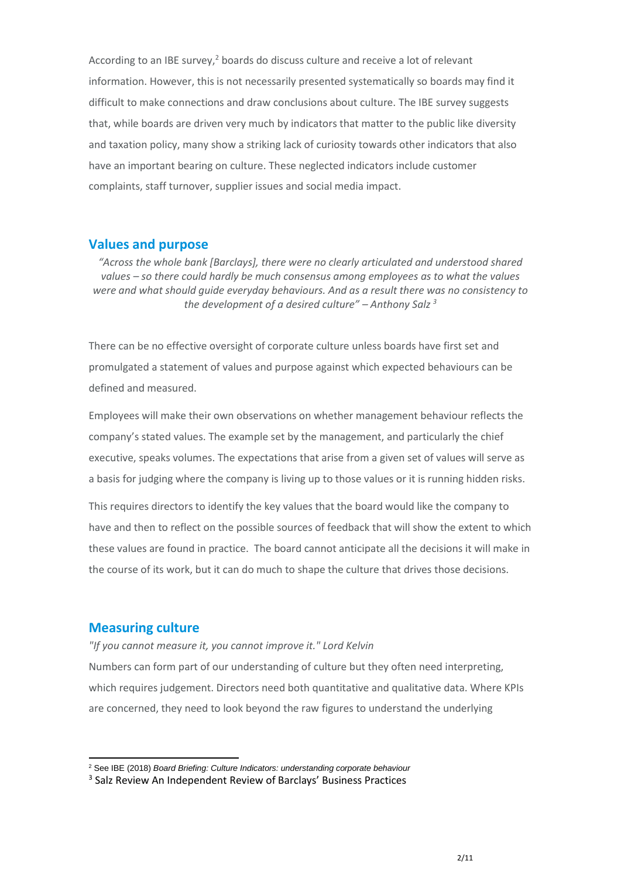According to an IBE survey, $2$  boards do discuss culture and receive a lot of relevant information. However, this is not necessarily presented systematically so boards may find it difficult to make connections and draw conclusions about culture. The IBE survey suggests that, while boards are driven very much by indicators that matter to the public like diversity and taxation policy, many show a striking lack of curiosity towards other indicators that also have an important bearing on culture. These neglected indicators include customer complaints, staff turnover, supplier issues and social media impact.

### **Values and purpose**

*"Across the whole bank [Barclays], there were no clearly articulated and understood shared values – so there could hardly be much consensus among employees as to what the values were and what should guide everyday behaviours. And as a result there was no consistency to the development of a desired culture" – Anthony Salz <sup>3</sup>*

There can be no effective oversight of corporate culture unless boards have first set and promulgated a statement of values and purpose against which expected behaviours can be defined and measured.

Employees will make their own observations on whether management behaviour reflects the company's stated values. The example set by the management, and particularly the chief executive, speaks volumes. The expectations that arise from a given set of values will serve as a basis for judging where the company is living up to those values or it is running hidden risks.

This requires directors to identify the key values that the board would like the company to have and then to reflect on the possible sources of feedback that will show the extent to which these values are found in practice. The board cannot anticipate all the decisions it will make in the course of its work, but it can do much to shape the culture that drives those decisions.

## **Measuring culture**

**.** 

*"If you cannot measure it, you cannot improve it." Lord Kelvin*

Numbers can form part of our understanding of culture but they often need interpreting, which requires judgement. Directors need both quantitative and qualitative data. Where KPIs are concerned, they need to look beyond the raw figures to understand the underlying

<sup>2</sup> See IBE (2018) *Board Briefing: Culture Indicators: understanding corporate behaviour*

<sup>&</sup>lt;sup>3</sup> Salz Review An Independent Review of Barclays' Business Practices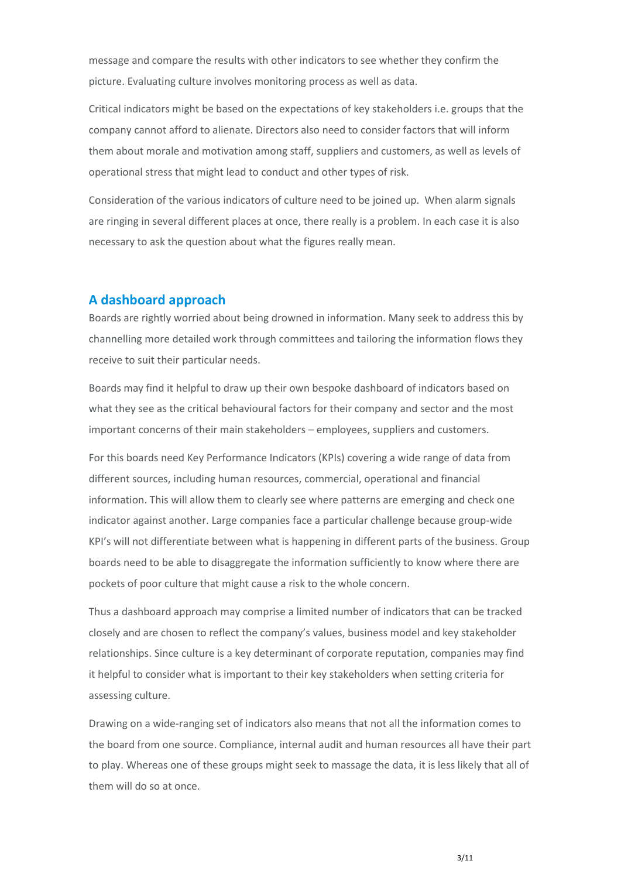message and compare the results with other indicators to see whether they confirm the picture. Evaluating culture involves monitoring process as well as data.

Critical indicators might be based on the expectations of key stakeholders i.e. groups that the company cannot afford to alienate. Directors also need to consider factors that will inform them about morale and motivation among staff, suppliers and customers, as well as levels of operational stress that might lead to conduct and other types of risk.

Consideration of the various indicators of culture need to be joined up. When alarm signals are ringing in several different places at once, there really is a problem. In each case it is also necessary to ask the question about what the figures really mean.

# **A dashboard approach**

Boards are rightly worried about being drowned in information. Many seek to address this by channelling more detailed work through committees and tailoring the information flows they receive to suit their particular needs.

Boards may find it helpful to draw up their own bespoke dashboard of indicators based on what they see as the critical behavioural factors for their company and sector and the most important concerns of their main stakeholders – employees, suppliers and customers.

For this boards need Key Performance Indicators (KPIs) covering a wide range of data from different sources, including human resources, commercial, operational and financial information. This will allow them to clearly see where patterns are emerging and check one indicator against another. Large companies face a particular challenge because group-wide KPI's will not differentiate between what is happening in different parts of the business. Group boards need to be able to disaggregate the information sufficiently to know where there are pockets of poor culture that might cause a risk to the whole concern.

Thus a dashboard approach may comprise a limited number of indicators that can be tracked closely and are chosen to reflect the company's values, business model and key stakeholder relationships. Since culture is a key determinant of corporate reputation, companies may find it helpful to consider what is important to their key stakeholders when setting criteria for assessing culture.

Drawing on a wide-ranging set of indicators also means that not all the information comes to the board from one source. Compliance, internal audit and human resources all have their part to play. Whereas one of these groups might seek to massage the data, it is less likely that all of them will do so at once.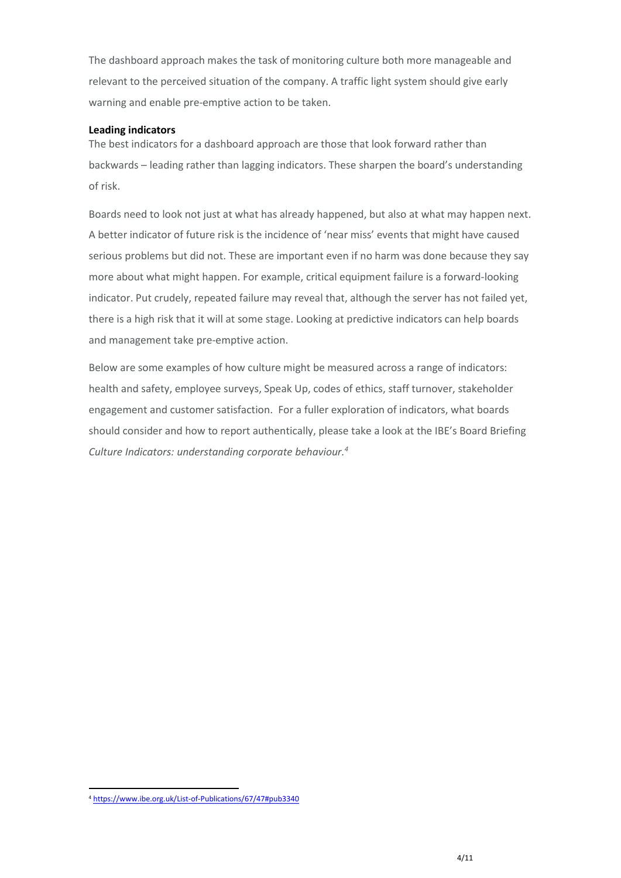The dashboard approach makes the task of monitoring culture both more manageable and relevant to the perceived situation of the company. A traffic light system should give early warning and enable pre-emptive action to be taken.

### **Leading indicators**

The best indicators for a dashboard approach are those that look forward rather than backwards – leading rather than lagging indicators. These sharpen the board's understanding of risk.

Boards need to look not just at what has already happened, but also at what may happen next. A better indicator of future risk is the incidence of 'near miss' events that might have caused serious problems but did not. These are important even if no harm was done because they say more about what might happen. For example, critical equipment failure is a forward-looking indicator. Put crudely, repeated failure may reveal that, although the server has not failed yet, there is a high risk that it will at some stage. Looking at predictive indicators can help boards and management take pre-emptive action.

Below are some examples of how culture might be measured across a range of indicators: health and safety, employee surveys, Speak Up, codes of ethics, staff turnover, stakeholder engagement and customer satisfaction. For a fuller exploration of indicators, what boards should consider and how to report authentically, please take a look at the IBE's Board Briefing *Culture Indicators: understanding corporate behaviour.<sup>4</sup>*

**.** 

<sup>4</sup> <https://www.ibe.org.uk/List-of-Publications/67/47#pub3340>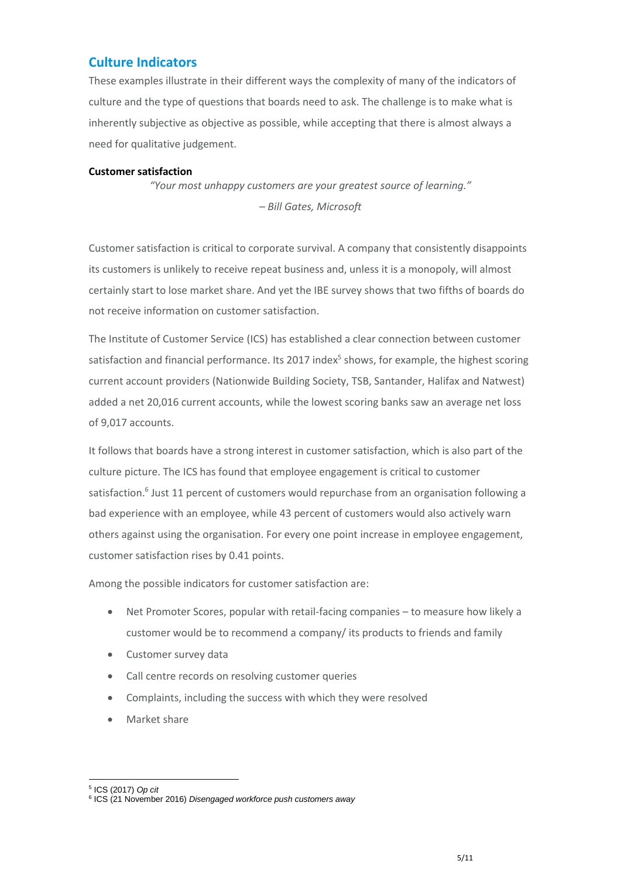# **Culture Indicators**

These examples illustrate in their different ways the complexity of many of the indicators of culture and the type of questions that boards need to ask. The challenge is to make what is inherently subjective as objective as possible, while accepting that there is almost always a need for qualitative judgement.

#### **Customer satisfaction**

*"Your most unhappy customers are your greatest source of learning." – Bill Gates, Microsoft*

Customer satisfaction is critical to corporate survival. A company that consistently disappoints its customers is unlikely to receive repeat business and, unless it is a monopoly, will almost certainly start to lose market share. And yet the IBE survey shows that two fifths of boards do not receive information on customer satisfaction.

The Institute of Customer Service (ICS) has established a clear connection between customer satisfaction and financial performance. Its 2017 index<sup>5</sup> shows, for example, the highest scoring current account providers (Nationwide Building Society, TSB, Santander, Halifax and Natwest) added a net 20,016 current accounts, while the lowest scoring banks saw an average net loss of 9,017 accounts.

It follows that boards have a strong interest in customer satisfaction, which is also part of the culture picture. The ICS has found that employee engagement is critical to customer satisfaction.<sup>6</sup> Just 11 percent of customers would repurchase from an organisation following a bad experience with an employee, while 43 percent of customers would also actively warn others against using the organisation. For every one point increase in employee engagement, customer satisfaction rises by 0.41 points.

Among the possible indicators for customer satisfaction are:

- Net Promoter Scores, popular with retail-facing companies to measure how likely a customer would be to recommend a company/ its products to friends and family
- Customer survey data
- Call centre records on resolving customer queries
- Complaints, including the success with which they were resolved
- Market share

**<sup>.</sup>** 5 ICS (2017) *Op cit*

<sup>6</sup> ICS (21 November 2016) *Disengaged workforce push customers away*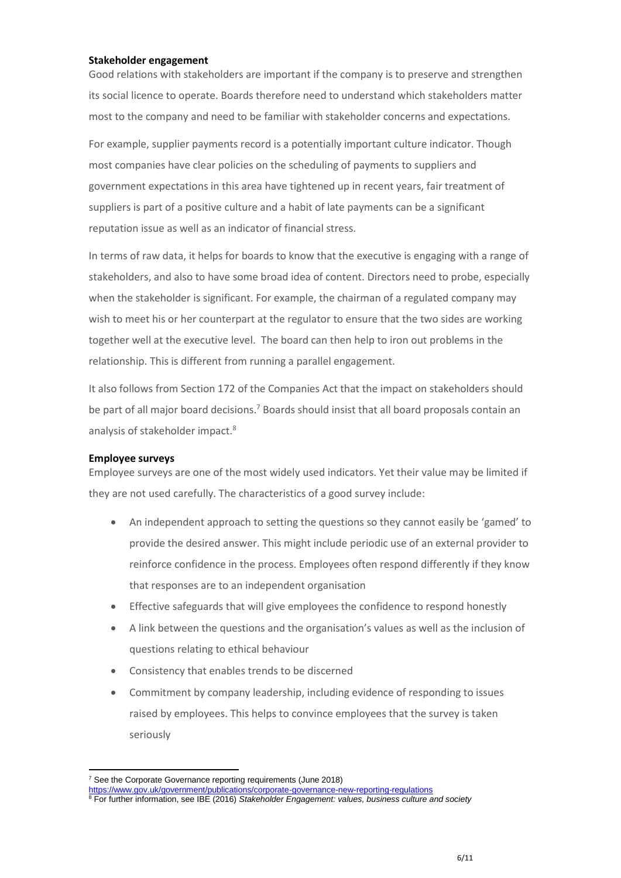#### **Stakeholder engagement**

Good relations with stakeholders are important if the company is to preserve and strengthen its social licence to operate. Boards therefore need to understand which stakeholders matter most to the company and need to be familiar with stakeholder concerns and expectations.

For example, supplier payments record is a potentially important culture indicator. Though most companies have clear policies on the scheduling of payments to suppliers and government expectations in this area have tightened up in recent years, fair treatment of suppliers is part of a positive culture and a habit of late payments can be a significant reputation issue as well as an indicator of financial stress.

In terms of raw data, it helps for boards to know that the executive is engaging with a range of stakeholders, and also to have some broad idea of content. Directors need to probe, especially when the stakeholder is significant. For example, the chairman of a regulated company may wish to meet his or her counterpart at the regulator to ensure that the two sides are working together well at the executive level. The board can then help to iron out problems in the relationship. This is different from running a parallel engagement.

It also follows from Section 172 of the Companies Act that the impact on stakeholders should be part of all major board decisions.<sup>7</sup> Boards should insist that all board proposals contain an analysis of stakeholder impact.<sup>8</sup>

#### **Employee surveys**

**.** 

Employee surveys are one of the most widely used indicators. Yet their value may be limited if they are not used carefully. The characteristics of a good survey include:

- An independent approach to setting the questions so they cannot easily be 'gamed' to provide the desired answer. This might include periodic use of an external provider to reinforce confidence in the process. Employees often respond differently if they know that responses are to an independent organisation
- Effective safeguards that will give employees the confidence to respond honestly
- A link between the questions and the organisation's values as well as the inclusion of questions relating to ethical behaviour
- Consistency that enables trends to be discerned
- Commitment by company leadership, including evidence of responding to issues raised by employees. This helps to convince employees that the survey is taken seriously

<sup>&</sup>lt;sup>7</sup> See the Corporate Governance reporting requirements (June 2018)

<https://www.gov.uk/government/publications/corporate-governance-new-reporting-regulations>

<sup>8</sup> For further information, see IBE (2016) *Stakeholder Engagement: values, business culture and society*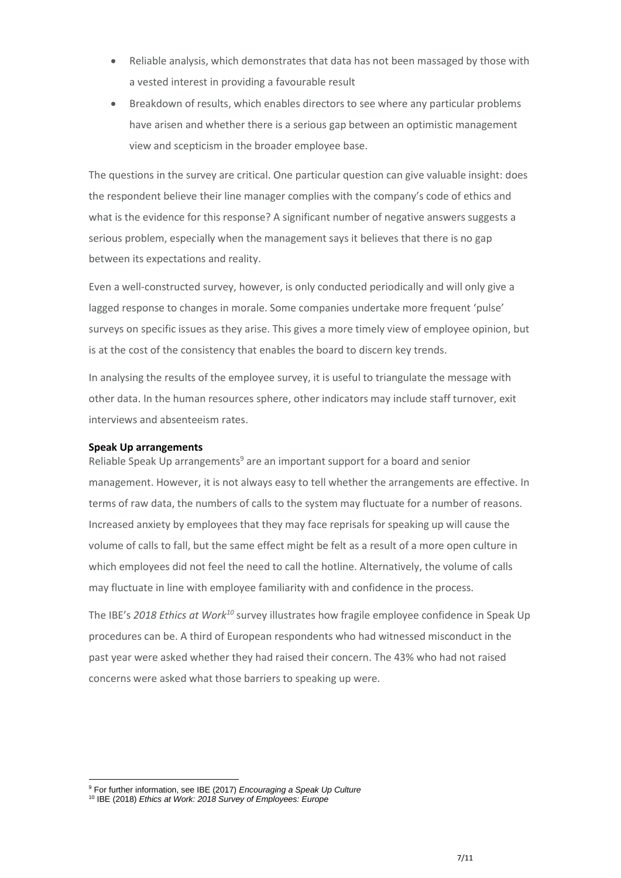- Reliable analysis, which demonstrates that data has not been massaged by those with a vested interest in providing a favourable result
- Breakdown of results, which enables directors to see where any particular problems have arisen and whether there is a serious gap between an optimistic management view and scepticism in the broader employee base.

The questions in the survey are critical. One particular question can give valuable insight: does the respondent believe their line manager complies with the company's code of ethics and what is the evidence for this response? A significant number of negative answers suggests a serious problem, especially when the management says it believes that there is no gap between its expectations and reality.

Even a well-constructed survey, however, is only conducted periodically and will only give a lagged response to changes in morale. Some companies undertake more frequent 'pulse' surveys on specific issues as they arise. This gives a more timely view of employee opinion, but is at the cost of the consistency that enables the board to discern key trends.

In analysing the results of the employee survey, it is useful to triangulate the message with other data. In the human resources sphere, other indicators may include staff turnover, exit interviews and absenteeism rates.

#### **Speak Up arrangements**

Reliable Speak Up arrangements<sup>9</sup> are an important support for a board and senior management. However, it is not always easy to tell whether the arrangements are effective. In terms of raw data, the numbers of calls to the system may fluctuate for a number of reasons. Increased anxiety by employees that they may face reprisals for speaking up will cause the volume of calls to fall, but the same effect might be felt as a result of a more open culture in which employees did not feel the need to call the hotline. Alternatively, the volume of calls may fluctuate in line with employee familiarity with and confidence in the process.

The IBE's *2018 Ethics at Work<sup>10</sup>* survey illustrates how fragile employee confidence in Speak Up procedures can be. A third of European respondents who had witnessed misconduct in the past year were asked whether they had raised their concern. The 43% who had not raised concerns were asked what those barriers to speaking up were.

**.** 

<sup>9</sup> For further information, see IBE (2017) *Encouraging a Speak Up Culture*

<sup>10</sup> IBE (2018) *Ethics at Work: 2018 Survey of Employees: Europe*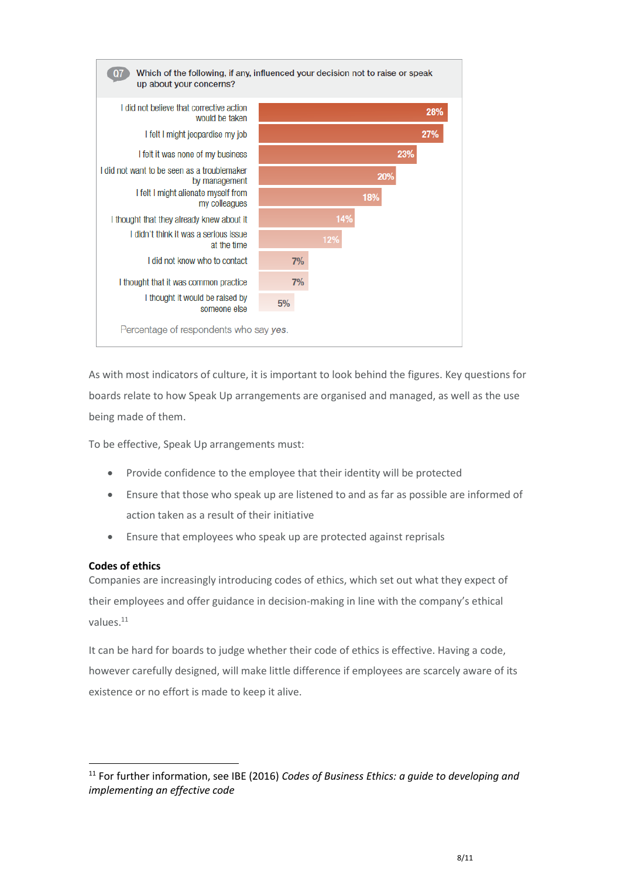

As with most indicators of culture, it is important to look behind the figures. Key questions for boards relate to how Speak Up arrangements are organised and managed, as well as the use being made of them.

To be effective, Speak Up arrangements must:

- Provide confidence to the employee that their identity will be protected
- Ensure that those who speak up are listened to and as far as possible are informed of action taken as a result of their initiative
- Ensure that employees who speak up are protected against reprisals

#### **Codes of ethics**

**.** 

Companies are increasingly introducing codes of ethics, which set out what they expect of their employees and offer guidance in decision-making in line with the company's ethical values.<sup>11</sup>

It can be hard for boards to judge whether their code of ethics is effective. Having a code, however carefully designed, will make little difference if employees are scarcely aware of its existence or no effort is made to keep it alive.

<sup>11</sup> For further information, see IBE (2016) *Codes of Business Ethics: a guide to developing and implementing an effective code*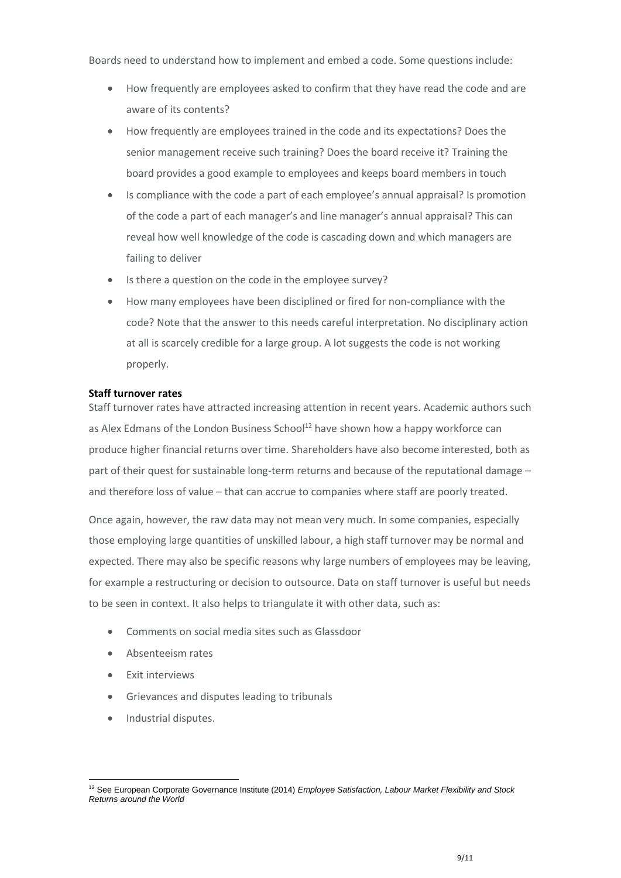Boards need to understand how to implement and embed a code. Some questions include:

- How frequently are employees asked to confirm that they have read the code and are aware of its contents?
- How frequently are employees trained in the code and its expectations? Does the senior management receive such training? Does the board receive it? Training the board provides a good example to employees and keeps board members in touch
- Is compliance with the code a part of each employee's annual appraisal? Is promotion of the code a part of each manager's and line manager's annual appraisal? This can reveal how well knowledge of the code is cascading down and which managers are failing to deliver
- Is there a question on the code in the employee survey?
- How many employees have been disciplined or fired for non-compliance with the code? Note that the answer to this needs careful interpretation. No disciplinary action at all is scarcely credible for a large group. A lot suggests the code is not working properly.

#### **Staff turnover rates**

Staff turnover rates have attracted increasing attention in recent years. Academic authors such as Alex Edmans of the London Business School<sup>12</sup> have shown how a happy workforce can produce higher financial returns over time. Shareholders have also become interested, both as part of their quest for sustainable long-term returns and because of the reputational damage – and therefore loss of value – that can accrue to companies where staff are poorly treated.

Once again, however, the raw data may not mean very much. In some companies, especially those employing large quantities of unskilled labour, a high staff turnover may be normal and expected. There may also be specific reasons why large numbers of employees may be leaving, for example a restructuring or decision to outsource. Data on staff turnover is useful but needs to be seen in context. It also helps to triangulate it with other data, such as:

- Comments on social media sites such as Glassdoor
- Absenteeism rates
- **•** Exit interviews
- Grievances and disputes leading to tribunals
- Industrial disputes.

**<sup>.</sup>** <sup>12</sup> See European Corporate Governance Institute (2014) *Employee Satisfaction, Labour Market Flexibility and Stock Returns around the World*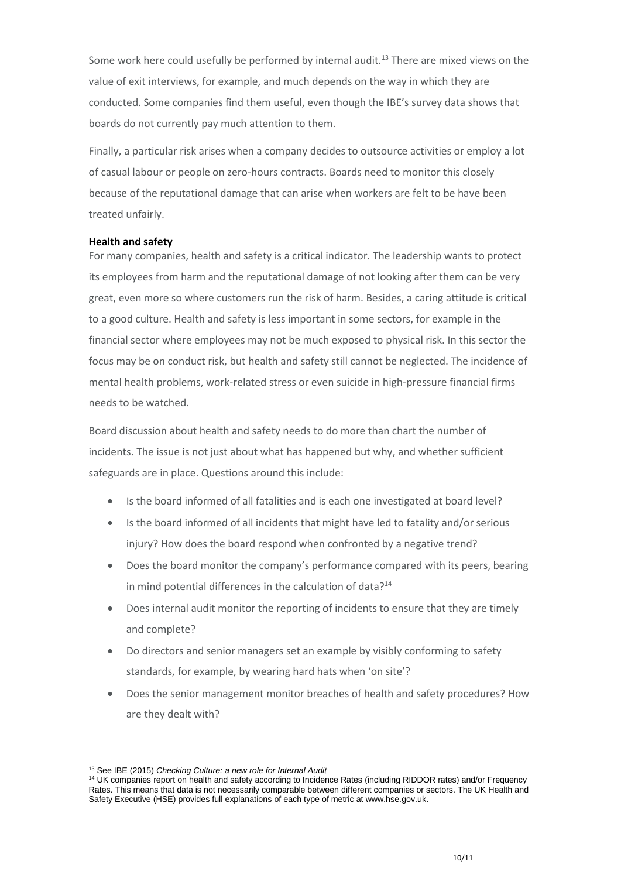Some work here could usefully be performed by internal audit.<sup>13</sup> There are mixed views on the value of exit interviews, for example, and much depends on the way in which they are conducted. Some companies find them useful, even though the IBE's survey data shows that boards do not currently pay much attention to them.

Finally, a particular risk arises when a company decides to outsource activities or employ a lot of casual labour or people on zero-hours contracts. Boards need to monitor this closely because of the reputational damage that can arise when workers are felt to be have been treated unfairly.

#### **Health and safety**

For many companies, health and safety is a critical indicator. The leadership wants to protect its employees from harm and the reputational damage of not looking after them can be very great, even more so where customers run the risk of harm. Besides, a caring attitude is critical to a good culture. Health and safety is less important in some sectors, for example in the financial sector where employees may not be much exposed to physical risk. In this sector the focus may be on conduct risk, but health and safety still cannot be neglected. The incidence of mental health problems, work-related stress or even suicide in high-pressure financial firms needs to be watched.

Board discussion about health and safety needs to do more than chart the number of incidents. The issue is not just about what has happened but why, and whether sufficient safeguards are in place. Questions around this include:

- Is the board informed of all fatalities and is each one investigated at board level?
- Is the board informed of all incidents that might have led to fatality and/or serious injury? How does the board respond when confronted by a negative trend?
- Does the board monitor the company's performance compared with its peers, bearing in mind potential differences in the calculation of data?<sup>14</sup>
- Does internal audit monitor the reporting of incidents to ensure that they are timely and complete?
- Do directors and senior managers set an example by visibly conforming to safety standards, for example, by wearing hard hats when 'on site'?
- Does the senior management monitor breaches of health and safety procedures? How are they dealt with?

<sup>1</sup> <sup>13</sup> See IBE (2015) *Checking Culture: a new role for Internal Audit*

<sup>&</sup>lt;sup>14</sup> UK companies report on health and safety according to Incidence Rates (including RIDDOR rates) and/or Frequency Rates. This means that data is not necessarily comparable between different companies or sectors. The UK Health and Safety Executive (HSE) provides full explanations of each type of metric at www.hse.gov.uk.